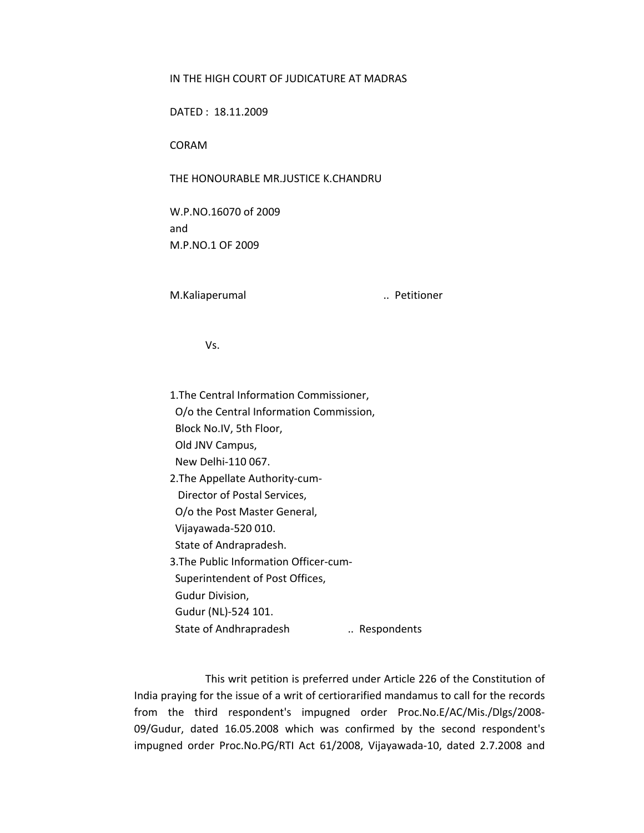## IN THE HIGH COURT OF JUDICATURE AT MADRAS

DATED : 18.11.2009

CORAM

THE HONOURABLE MR.JUSTICE K.CHANDRU

W.P.NO.16070 of 2009 and M.P.NO.1 OF 2009

M.Kaliaperumal **M.Kaliaperumal 1996** 

Vs.

1.The Central Information Commissioner, O/o the Central Information Commission, Block No.IV, 5th Floor, Old JNV Campus, New Delhi‐110 067. 2.The Appellate Authority‐cum‐ Director of Postal Services, O/o the Post Master General, Vijayawada‐520 010. State of Andrapradesh. 3.The Public Information Officer‐cum‐ Superintendent of Post Offices, Gudur Division, Gudur (NL)‐524 101. State of Andhrapradesh ... Respondents

This writ petition is preferred under Article 226 of the Constitution of India praying for the issue of a writ of certiorarified mandamus to call for the records from the third respondent's impugned order Proc.No.E/AC/Mis./Dlgs/2008‐ 09/Gudur, dated 16.05.2008 which was confirmed by the second respondent's impugned order Proc.No.PG/RTI Act 61/2008, Vijayawada‐10, dated 2.7.2008 and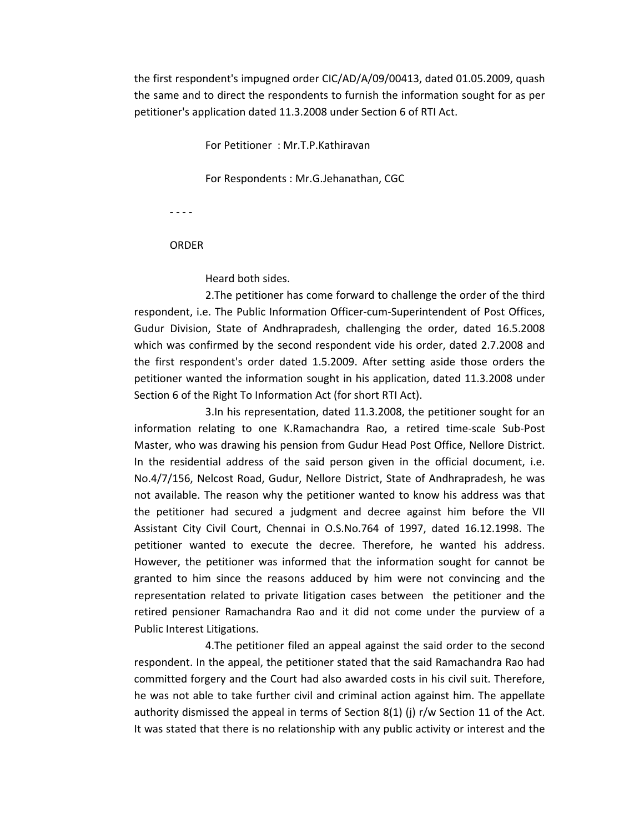the first respondent's impugned order CIC/AD/A/09/00413, dated 01.05.2009, quash the same and to direct the respondents to furnish the information sought for as per petitioner's application dated 11.3.2008 under Section 6 of RTI Act.

For Petitioner : Mr.T.P.Kathiravan

For Respondents : Mr.G.Jehanathan, CGC

‐ ‐ ‐ ‐

## **ORDER**

Heard both sides.

2.The petitioner has come forward to challenge the order of the third respondent, i.e. The Public Information Officer‐cum‐Superintendent of Post Offices, Gudur Division, State of Andhrapradesh, challenging the order, dated 16.5.2008 which was confirmed by the second respondent vide his order, dated 2.7.2008 and the first respondent's order dated 1.5.2009. After setting aside those orders the petitioner wanted the information sought in his application, dated 11.3.2008 under Section 6 of the Right To Information Act (for short RTI Act).

3.In his representation, dated 11.3.2008, the petitioner sought for an information relating to one K.Ramachandra Rao, a retired time‐scale Sub‐Post Master, who was drawing his pension from Gudur Head Post Office, Nellore District. In the residential address of the said person given in the official document, i.e. No.4/7/156, Nelcost Road, Gudur, Nellore District, State of Andhrapradesh, he was not available. The reason why the petitioner wanted to know his address was that the petitioner had secured a judgment and decree against him before the VII Assistant City Civil Court, Chennai in O.S.No.764 of 1997, dated 16.12.1998. The petitioner wanted to execute the decree. Therefore, he wanted his address. However, the petitioner was informed that the information sought for cannot be granted to him since the reasons adduced by him were not convincing and the representation related to private litigation cases between the petitioner and the retired pensioner Ramachandra Rao and it did not come under the purview of a Public Interest Litigations.

4.The petitioner filed an appeal against the said order to the second respondent. In the appeal, the petitioner stated that the said Ramachandra Rao had committed forgery and the Court had also awarded costs in his civil suit. Therefore, he was not able to take further civil and criminal action against him. The appellate authority dismissed the appeal in terms of Section 8(1) (j)  $r/w$  Section 11 of the Act. It was stated that there is no relationship with any public activity or interest and the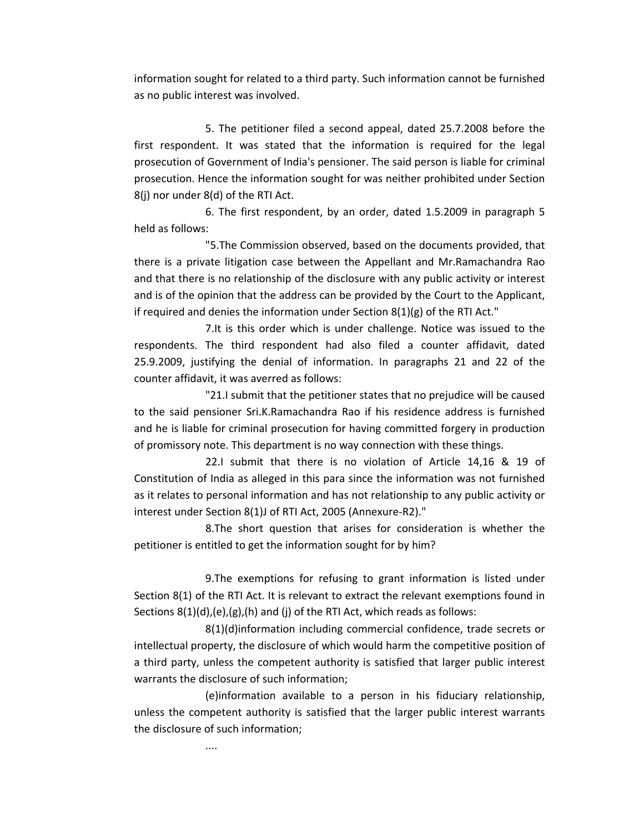information sought for related to a third party. Such information cannot be furnished as no public interest was involved.

5. The petitioner filed a second appeal, dated 25.7.2008 before the first respondent. It was stated that the information is required for the legal prosecution of Government of India's pensioner. The said person is liable for criminal prosecution. Hence the information sought for was neither prohibited under Section 8(j) nor under 8(d) of the RTI Act.

6. The first respondent, by an order, dated 1.5.2009 in paragraph 5 held as follows:

"5.The Commission observed, based on the documents provided, that there is a private litigation case between the Appellant and Mr.Ramachandra Rao and that there is no relationship of the disclosure with any public activity or interest and is of the opinion that the address can be provided by the Court to the Applicant, if required and denies the information under Section 8(1)(g) of the RTI Act."

7.It is this order which is under challenge. Notice was issued to the respondents. The third respondent had also filed a counter affidavit, dated 25.9.2009, justifying the denial of information. In paragraphs 21 and 22 of the counter affidavit, it was averred as follows:

"21.I submit that the petitioner states that no prejudice will be caused to the said pensioner Sri.K.Ramachandra Rao if his residence address is furnished and he is liable for criminal prosecution for having committed forgery in production of promissory note. This department is no way connection with these things.

22.I submit that there is no violation of Article 14,16 & 19 of Constitution of India as alleged in this para since the information was not furnished as it relates to personal information and has not relationship to any public activity or interest under Section 8(1)J of RTI Act, 2005 (Annexure‐R2)."

8.The short question that arises for consideration is whether the petitioner is entitled to get the information sought for by him?

9.The exemptions for refusing to grant information is listed under Section 8(1) of the RTI Act. It is relevant to extract the relevant exemptions found in Sections 8(1)(d),(e),(g),(h) and (j) of the RTI Act, which reads as follows:

8(1)(d)information including commercial confidence, trade secrets or intellectual property, the disclosure of which would harm the competitive position of a third party, unless the competent authority is satisfied that larger public interest warrants the disclosure of such information;

(e)information available to a person in his fiduciary relationship, unless the competent authority is satisfied that the larger public interest warrants the disclosure of such information;

....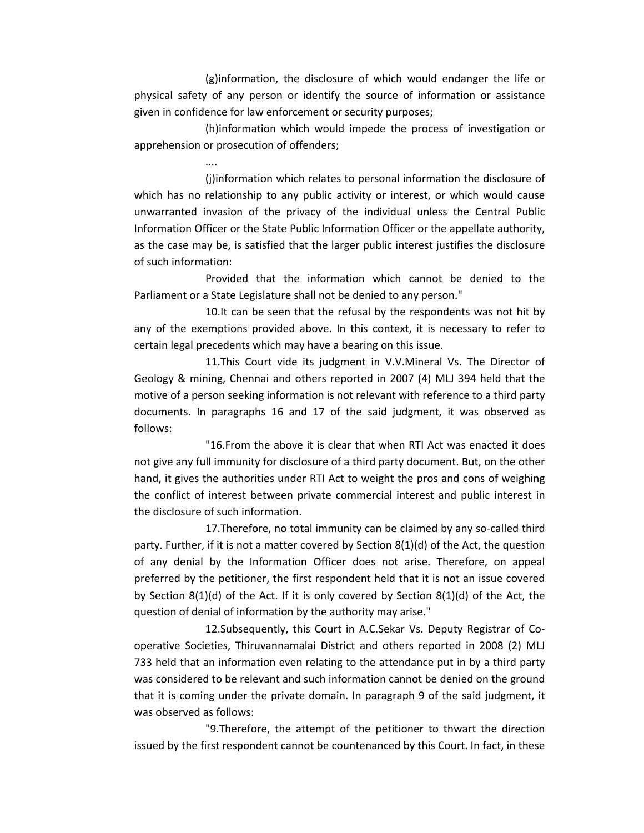(g)information, the disclosure of which would endanger the life or physical safety of any person or identify the source of information or assistance given in confidence for law enforcement or security purposes;

(h)information which would impede the process of investigation or apprehension or prosecution of offenders;

....

(j)information which relates to personal information the disclosure of which has no relationship to any public activity or interest, or which would cause unwarranted invasion of the privacy of the individual unless the Central Public Information Officer or the State Public Information Officer or the appellate authority, as the case may be, is satisfied that the larger public interest justifies the disclosure of such information:

Provided that the information which cannot be denied to the Parliament or a State Legislature shall not be denied to any person."

10.It can be seen that the refusal by the respondents was not hit by any of the exemptions provided above. In this context, it is necessary to refer to certain legal precedents which may have a bearing on this issue.

11.This Court vide its judgment in V.V.Mineral Vs. The Director of Geology & mining, Chennai and others reported in 2007 (4) MLJ 394 held that the motive of a person seeking information is not relevant with reference to a third party documents. In paragraphs 16 and 17 of the said judgment, it was observed as follows:

"16.From the above it is clear that when RTI Act was enacted it does not give any full immunity for disclosure of a third party document. But, on the other hand, it gives the authorities under RTI Act to weight the pros and cons of weighing the conflict of interest between private commercial interest and public interest in the disclosure of such information.

17. Therefore, no total immunity can be claimed by any so-called third party. Further, if it is not a matter covered by Section 8(1)(d) of the Act, the question of any denial by the Information Officer does not arise. Therefore, on appeal preferred by the petitioner, the first respondent held that it is not an issue covered by Section 8(1)(d) of the Act. If it is only covered by Section 8(1)(d) of the Act, the question of denial of information by the authority may arise."

12.Subsequently, this Court in A.C.Sekar Vs. Deputy Registrar of Co‐ operative Societies, Thiruvannamalai District and others reported in 2008 (2) MLJ 733 held that an information even relating to the attendance put in by a third party was considered to be relevant and such information cannot be denied on the ground that it is coming under the private domain. In paragraph 9 of the said judgment, it was observed as follows:

"9.Therefore, the attempt of the petitioner to thwart the direction issued by the first respondent cannot be countenanced by this Court. In fact, in these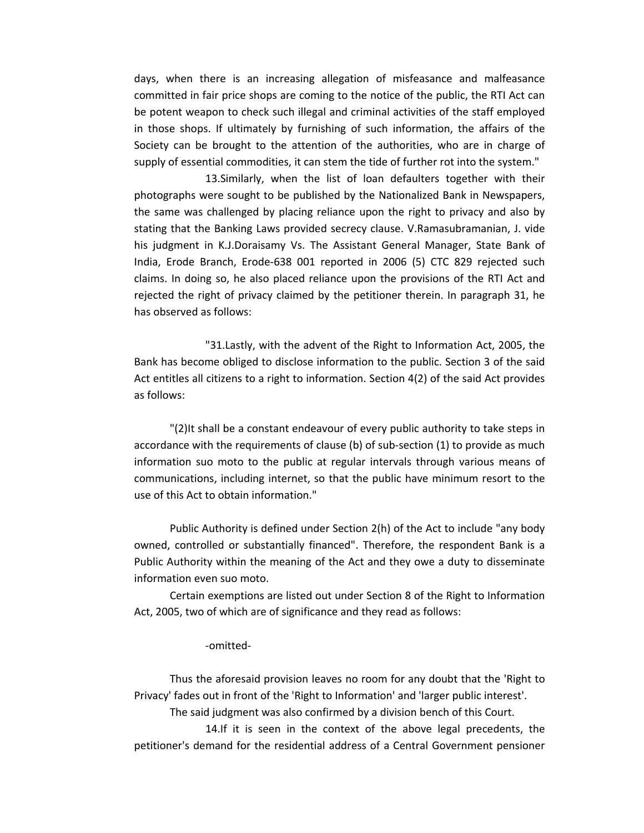days, when there is an increasing allegation of misfeasance and malfeasance committed in fair price shops are coming to the notice of the public, the RTI Act can be potent weapon to check such illegal and criminal activities of the staff employed in those shops. If ultimately by furnishing of such information, the affairs of the Society can be brought to the attention of the authorities, who are in charge of supply of essential commodities, it can stem the tide of further rot into the system."

13.Similarly, when the list of loan defaulters together with their photographs were sought to be published by the Nationalized Bank in Newspapers, the same was challenged by placing reliance upon the right to privacy and also by stating that the Banking Laws provided secrecy clause. V.Ramasubramanian, J. vide his judgment in K.J.Doraisamy Vs. The Assistant General Manager, State Bank of India, Erode Branch, Erode‐638 001 reported in 2006 (5) CTC 829 rejected such claims. In doing so, he also placed reliance upon the provisions of the RTI Act and rejected the right of privacy claimed by the petitioner therein. In paragraph 31, he has observed as follows:

"31.Lastly, with the advent of the Right to Information Act, 2005, the Bank has become obliged to disclose information to the public. Section 3 of the said Act entitles all citizens to a right to information. Section 4(2) of the said Act provides as follows:

"(2)It shall be a constant endeavour of every public authority to take steps in accordance with the requirements of clause (b) of sub‐section (1) to provide as much information suo moto to the public at regular intervals through various means of communications, including internet, so that the public have minimum resort to the use of this Act to obtain information."

Public Authority is defined under Section 2(h) of the Act to include "any body owned, controlled or substantially financed". Therefore, the respondent Bank is a Public Authority within the meaning of the Act and they owe a duty to disseminate information even suo moto.

Certain exemptions are listed out under Section 8 of the Right to Information Act, 2005, two of which are of significance and they read as follows:

## ‐omitted‐

Thus the aforesaid provision leaves no room for any doubt that the 'Right to Privacy' fades out in front of the 'Right to Information' and 'larger public interest'.

The said judgment was also confirmed by a division bench of this Court.

14.If it is seen in the context of the above legal precedents, the petitioner's demand for the residential address of a Central Government pensioner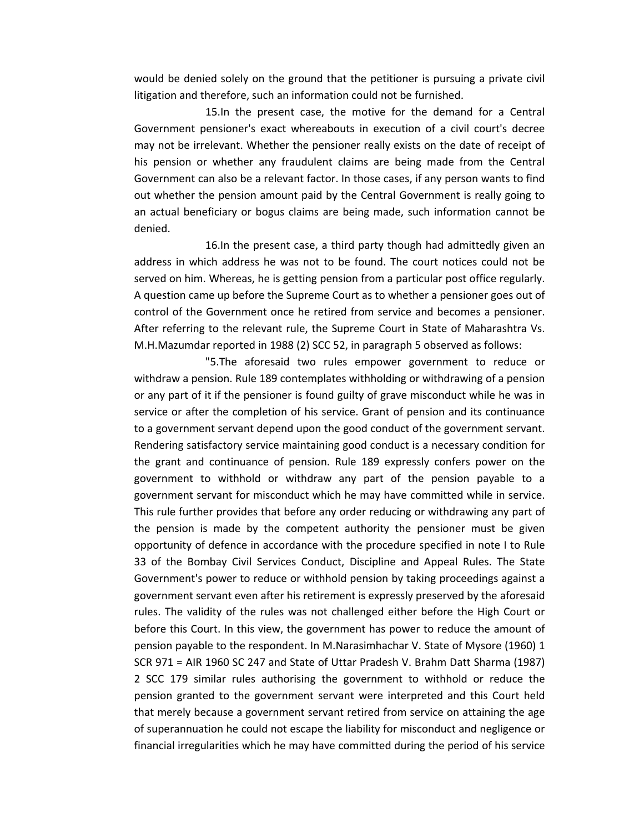would be denied solely on the ground that the petitioner is pursuing a private civil litigation and therefore, such an information could not be furnished.

15.In the present case, the motive for the demand for a Central Government pensioner's exact whereabouts in execution of a civil court's decree may not be irrelevant. Whether the pensioner really exists on the date of receipt of his pension or whether any fraudulent claims are being made from the Central Government can also be a relevant factor. In those cases, if any person wants to find out whether the pension amount paid by the Central Government is really going to an actual beneficiary or bogus claims are being made, such information cannot be denied.

16.In the present case, a third party though had admittedly given an address in which address he was not to be found. The court notices could not be served on him. Whereas, he is getting pension from a particular post office regularly. A question came up before the Supreme Court as to whether a pensioner goes out of control of the Government once he retired from service and becomes a pensioner. After referring to the relevant rule, the Supreme Court in State of Maharashtra Vs. M.H.Mazumdar reported in 1988 (2) SCC 52, in paragraph 5 observed as follows:

"5.The aforesaid two rules empower government to reduce or withdraw a pension. Rule 189 contemplates withholding or withdrawing of a pension or any part of it if the pensioner is found guilty of grave misconduct while he was in service or after the completion of his service. Grant of pension and its continuance to a government servant depend upon the good conduct of the government servant. Rendering satisfactory service maintaining good conduct is a necessary condition for the grant and continuance of pension. Rule 189 expressly confers power on the government to withhold or withdraw any part of the pension payable to a government servant for misconduct which he may have committed while in service. This rule further provides that before any order reducing or withdrawing any part of the pension is made by the competent authority the pensioner must be given opportunity of defence in accordance with the procedure specified in note I to Rule 33 of the Bombay Civil Services Conduct, Discipline and Appeal Rules. The State Government's power to reduce or withhold pension by taking proceedings against a government servant even after his retirement is expressly preserved by the aforesaid rules. The validity of the rules was not challenged either before the High Court or before this Court. In this view, the government has power to reduce the amount of pension payable to the respondent. In M.Narasimhachar V. State of Mysore (1960) 1 SCR 971 = AIR 1960 SC 247 and State of Uttar Pradesh V. Brahm Datt Sharma (1987) 2 SCC 179 similar rules authorising the government to withhold or reduce the pension granted to the government servant were interpreted and this Court held that merely because a government servant retired from service on attaining the age of superannuation he could not escape the liability for misconduct and negligence or financial irregularities which he may have committed during the period of his service